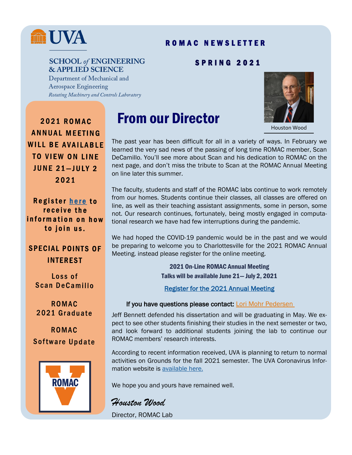## m UVA

#### R O M A C N E W S L E T T E R

#### **SCHOOL of ENGINEERING & APPLIED SCIENCE**

#### S P R I N G 2 0 2 1

Department of Mechanical and **Aerospace Engineering** Rotating Machinery and Controls Laboratory



Houston Wood

**2021 ROMAC ANNUAL MEETING WILL BE AVAILABLE TO VIEW ON LINE JUNE 21-JULY 2** 2021

Register here to receive the information on how to join us.

#### **SPECIAL POINTS OF INTEREST**

Loss of Scan DeCamillo

**ROMAC** 2021 Graduate

**ROMAC Software Update** 



### From our Director

The past year has been difficult for all in a variety of ways. In February we learned the very sad news of the passing of long time ROMAC member, Scan DeCamillo. You'll see more about Scan and his dedication to ROMAC on the next page, and don't miss the tribute to Scan at the ROMAC Annual Meeting on line later this summer.

The faculty, students and staff of the ROMAC labs continue to work remotely from our homes. Students continue their classes, all classes are offered on line, as well as their teaching assistant assignments, some in person, some not. Our research continues, fortunately, being mostly engaged in computational research we have had few interruptions during the pandemic.

We had hoped the COVID-19 pandemic would be in the past and we would be preparing to welcome you to Charlottesville for the 2021 ROMAC Annual Meeting. instead please register for the online meeting.

> 2021 On-Line ROMAC Annual Meeting Talks will be available June 21— July 2, 2021

[Register for the 2021 Annual Meeting](https://www.eventbrite.com/e/2021-romac-annual-meeting-tickets-151838421807) 

#### If you have questions please contact: [Lori Mohr Pedersen](mailto:llmp3t@virginia.edu)

Jeff Bennett defended his dissertation and will be graduating in May. We expect to see other students finishing their studies in the next semester or two, and look forward to additional students joining the lab to continue our ROMAC members' research interests.

According to recent information received, UVA is planning to return to normal activities on Grounds for the fall 2021 semester. The UVA Coronavirus Information website is [available here.](https://coronavirus.virginia.edu/updates/fall-plans-vaccine-study-employee-leave)

We hope you and yours have remained well.

*Houston Wood* Director, ROMAC Lab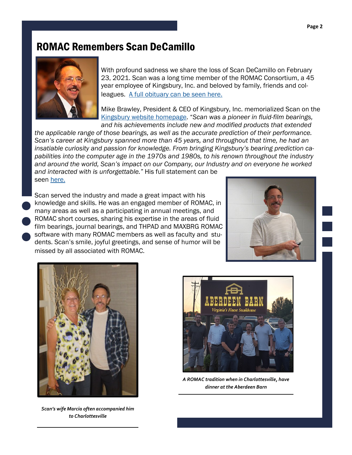#### ROMAC Remembers Scan DeCamillo



With profound sadness we share the loss of Scan DeCamillo on February 23, 2021. Scan was a long time member of the ROMAC Consortium, a 45 year employee of Kingsbury, Inc. and beloved by family, friends and colleagues. [A full obituary can be seen here.](http://hosting-24309.tributes.com/obituary/show/Ascanio-Scan-DeCamillo-108511147)

Mike Brawley, President & CEO of Kingsbury, Inc. memorialized Scan on the [Kingsbury website homepage](https://www.kingsbury.com/). "*Scan was a pioneer in fluid-film bearings, and his achievements include new and modified products that extended* 

*the applicable range of those bearings, as well as the accurate prediction of their performance. Scan's career at Kingsbury spanned more than 45 years, and throughout that time, he had an insatiable curiosity and passion for knowledge. From bringing Kingsbury's bearing prediction capabilities into the computer age in the 1970s and 1980s, to his renown throughout the industry and around the world, Scan's impact on our Company, our Industry and on everyone he worked* 

*and interacted with is unforgettable."* His full statement can be seen [here.](https://www.kingsbury.com/)

Scan served the industry and made a great impact with his knowledge and skills. He was an engaged member of ROMAC, in many areas as well as a participating in annual meetings, and ROMAC short courses, sharing his expertise in the areas of fluid film bearings, journal bearings, and THPAD and MAXBRG ROMAC software with many ROMAC members as well as faculty and students. Scan's smile, joyful greetings, and sense of humor will be missed by all associated with ROMAC.





*Scan's wife Marcia often accompanied him to Charlottesville*



*A ROMAC tradition when in Charlottesville, have dinner at the Aberdeen Barn*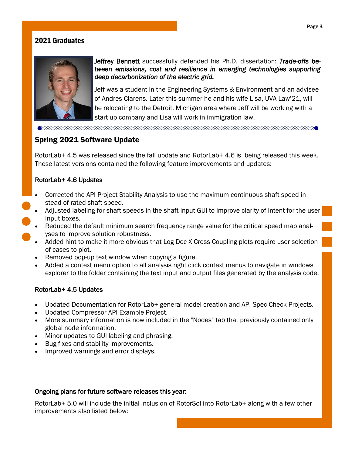#### 2021 Graduates



Jeffrey Bennett successfully defended his Ph.D. dissertation: *Trade-offs between emissions, cost and resilience in emerging technologies supporting deep decarbonization of the electric grid.*

Jeff was a student in the Engineering Systems & Environment and an advisee of Andres Clarens. Later this summer he and his wife Lisa, UVA Law'21, will be relocating to the Detroit, Michigan area where Jeff will be working with a start up company and Lisa will work in immigration law.

#### Spring 2021 Software Update

RotorLab+ 4.5 was released since the fall update and RotorLab+ 4.6 is being released this week. These latest versions contained the following feature improvements and updates:

#### RotorLab+ 4.6 Updates

- Corrected the API Project Stability Analysis to use the maximum continuous shaft speed instead of rated shaft speed.
- Adjusted labeling for shaft speeds in the shaft input GUI to improve clarity of intent for the user input boxes.
- Reduced the default minimum search frequency range value for the critical speed map analyses to improve solution robustness.
- Added hint to make it more obvious that Log-Dec X Cross-Coupling plots require user selection of cases to plot.
- Removed pop-up text window when copying a figure.
- Added a context menu option to all analysis right click context menus to navigate in windows explorer to the folder containing the text input and output files generated by the analysis code.

#### RotorLab+ 4.5 Updates

- Updated Documentation for RotorLab+ general model creation and API Spec Check Projects.
- Updated Compressor API Example Project.
- More summary information is now included in the "Nodes" tab that previously contained only global node information.
- Minor updates to GUI labeling and phrasing.
- Bug fixes and stability improvements.
- Improved warnings and error displays.

#### Ongoing plans for future software releases this year:

RotorLab+ 5.0 will include the initial inclusion of RotorSol into RotorLab+ along with a few other improvements also listed below: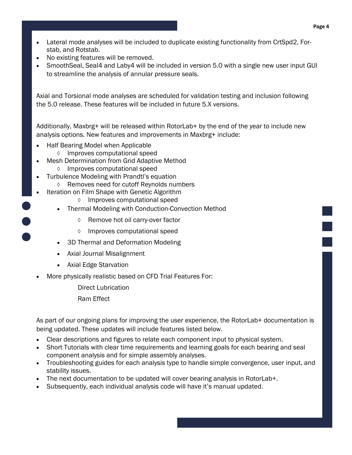- Lateral mode analyses will be included to duplicate existing functionality from CrtSpd2, Forstab, and Rotstab.
- No existing features will be removed.
- SmoothSeal, Seal4 and Laby4 will be included in version 5.0 with a single new user input GUI to streamline the analysis of annular pressure seals.

Axial and Torsional mode analyses are scheduled for validation testing and inclusion following the 5.0 release. These features will be included in future 5.X versions.

Additionally, Maxbrg+ will be released within RotorLab+ by the end of the year to include new analysis options. New features and improvements in Maxbrg+ include:

- Half Bearing Model when Applicable
	- Improves computational speed
- Mesh Determination from Grid Adaptive Method  $\Diamond$  Improves computational speed
	- Turbulence Modeling with Prandtl's equation
		- Removes need for cutoff Reynolds numbers
- Iteration on Film Shape with Genetic Algorithm
	- Improves computational speed
	- Thermal Modeling with Conduction-Convection Method
		- $\Diamond$  Remove hot oil carry-over factor
		- Improves computational speed
	- 3D Thermal and Deformation Modeling
	- Axial Journal Misalignment
	- Axial Edge Starvation
- More physically realistic based on CFD Trial Features For:
	- Direct Lubrication
	- Ram Effect

As part of our ongoing plans for improving the user experience, the RotorLab+ documentation is being updated. These updates will include features listed below.

- Clear descriptions and figures to relate each component input to physical system.
- Short Tutorials with clear time requirements and learning goals for each bearing and seal component analysis and for simple assembly analyses.
- Troubleshooting guides for each analysis type to handle simple convergence, user input, and stability issues.
- The next documentation to be updated will cover bearing analysis in RotorLab+.
- Subsequently, each individual analysis code will have it's manual updated.